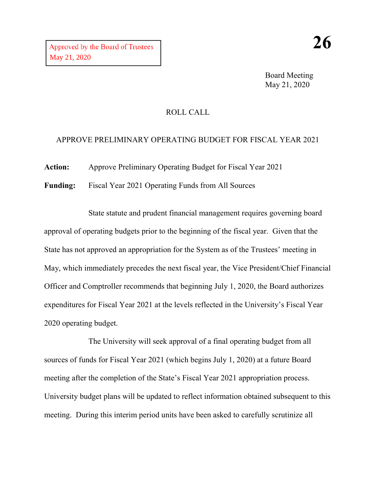Board Meeting May 21, 2020

## ROLL CALL

## APPROVE PRELIMINARY OPERATING BUDGET FOR FISCAL YEAR 2021

**Action:** Approve Preliminary Operating Budget for Fiscal Year 2021

**Funding:** Fiscal Year 2021 Operating Funds from All Sources

State statute and prudent financial management requires governing board approval of operating budgets prior to the beginning of the fiscal year. Given that the State has not approved an appropriation for the System as of the Trustees' meeting in May, which immediately precedes the next fiscal year, the Vice President/Chief Financial Officer and Comptroller recommends that beginning July 1, 2020, the Board authorizes expenditures for Fiscal Year 2021 at the levels reflected in the University's Fiscal Year 2020 operating budget.

The University will seek approval of a final operating budget from all sources of funds for Fiscal Year 2021 (which begins July 1, 2020) at a future Board meeting after the completion of the State's Fiscal Year 2021 appropriation process. University budget plans will be updated to reflect information obtained subsequent to this meeting. During this interim period units have been asked to carefully scrutinize all